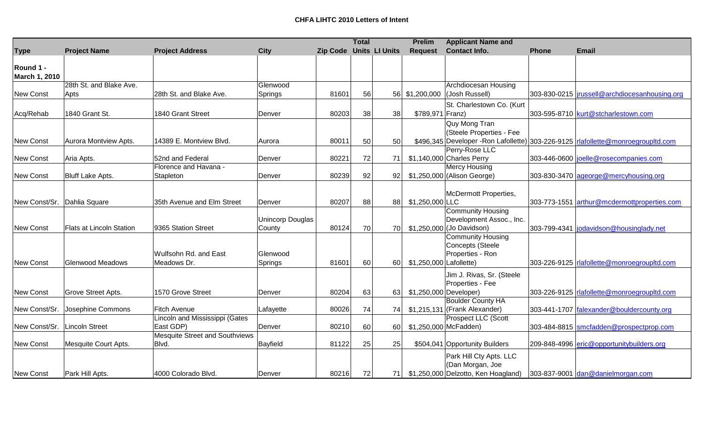|                  |                          |                                |                         |                                | <b>Total</b> |      | <b>Prelim</b>           | <b>Applicant Name and</b>                                                                                                                                     |              |                                                                                   |
|------------------|--------------------------|--------------------------------|-------------------------|--------------------------------|--------------|------|-------------------------|---------------------------------------------------------------------------------------------------------------------------------------------------------------|--------------|-----------------------------------------------------------------------------------|
| <b>Type</b>      | <b>Project Name</b>      | <b>Project Address</b>         | <b>City</b>             | <b>Zip Code Units LI Units</b> |              |      | <b>Request</b>          | <b>Contact Info.</b>                                                                                                                                          | <b>Phone</b> | <b>Email</b>                                                                      |
|                  |                          |                                |                         |                                |              |      |                         |                                                                                                                                                               |              |                                                                                   |
| Round 1 -        |                          |                                |                         |                                |              |      |                         |                                                                                                                                                               |              |                                                                                   |
| March 1, 2010    |                          |                                |                         |                                |              |      |                         |                                                                                                                                                               |              |                                                                                   |
|                  | 28th St. and Blake Ave.  |                                | Glenwood                |                                |              |      |                         | Archdiocesan Housing                                                                                                                                          |              |                                                                                   |
| <b>New Const</b> | Apts                     | 28th St. and Blake Ave.        | Springs                 | 81601                          | 56           |      | 56 \$1,200,000          | (Josh Russell)                                                                                                                                                |              | 303-830-0215   jrussell@archdiocesanhousing.org                                   |
|                  |                          |                                |                         |                                |              |      |                         | St. Charlestown Co. (Kurt                                                                                                                                     |              |                                                                                   |
| Acq/Rehab        | 1840 Grant St.           | 1840 Grant Street              | Denver                  | 80203                          | 38           | 38   | \$789,971 Franz)        |                                                                                                                                                               |              | 303-595-8710 kurt@stcharlestown.com                                               |
|                  |                          |                                |                         |                                |              |      |                         | Quy Mong Tran                                                                                                                                                 |              |                                                                                   |
|                  |                          |                                |                         |                                |              |      |                         | (Steele Properties - Fee                                                                                                                                      |              |                                                                                   |
| <b>New Const</b> | Aurora Montview Apts.    | 14389 E. Montview Blvd.        | Aurora                  | 80011                          | 50           | 50   |                         |                                                                                                                                                               |              | \$496,345 Developer -Ron Lafollette) 303-226-9125  rlafollette@monroegroupltd.com |
|                  |                          |                                |                         |                                |              |      |                         | Perry-Rose LLC                                                                                                                                                |              |                                                                                   |
| New Const        | Aria Apts.               | 52nd and Federal               | Denver                  | 80221                          | 72           | 71   |                         | \$1,140,000 Charles Perry                                                                                                                                     |              | 303-446-0600 joelle@rosecompanies.com                                             |
|                  |                          | Florence and Havana -          |                         |                                |              |      |                         | Mercy Housing                                                                                                                                                 |              |                                                                                   |
| <b>New Const</b> | <b>Bluff Lake Apts.</b>  | Stapleton                      | Denver                  | 80239                          | 92           | 92   |                         | \$1,250,000 (Alison George)                                                                                                                                   |              | 303-830-3470 ageorge@mercyhousing.org                                             |
|                  |                          |                                |                         |                                |              |      |                         |                                                                                                                                                               |              |                                                                                   |
|                  |                          |                                |                         |                                |              |      |                         | McDermott Properties,                                                                                                                                         |              |                                                                                   |
| New Const/Sr.    | Dahlia Square            | 35th Avenue and Elm Street     | Denver                  | 80207                          | 88           | 88   | $$1,250,000$ LLC        |                                                                                                                                                               |              | 303-773-1551 arthur@mcdermottproperties.com                                       |
|                  |                          |                                |                         |                                |              |      |                         | <b>Community Housing</b>                                                                                                                                      |              |                                                                                   |
|                  |                          |                                | <b>Unincorp Douglas</b> |                                |              |      |                         | Development Assoc., Inc.                                                                                                                                      |              |                                                                                   |
| New Const        | Flats at Lincoln Station | 9365 Station Street            | County                  | 80124                          | 70           | 70   |                         | \$1,250,000 (Jo Davidson)                                                                                                                                     |              | 303-799-4341  jodavidson@housinglady.net                                          |
|                  |                          |                                |                         |                                |              |      |                         | <b>Community Housing</b>                                                                                                                                      |              |                                                                                   |
|                  |                          |                                |                         |                                |              |      |                         | Concepts (Steele                                                                                                                                              |              |                                                                                   |
|                  |                          | Wulfsohn Rd. and East          | Glenwood                |                                |              |      |                         | Properties - Ron                                                                                                                                              |              |                                                                                   |
| <b>New Const</b> | Glenwood Meadows         | Meadows Dr.                    | Springs                 | 81601                          | 60           | 60   | \$1,250,000 Lafollette) |                                                                                                                                                               |              | 303-226-9125   rlafollette@monroegroupltd.com                                     |
|                  |                          |                                |                         |                                |              |      |                         | Jim J. Rivas, Sr. (Steele                                                                                                                                     |              |                                                                                   |
|                  |                          |                                |                         |                                |              |      |                         | Properties - Fee                                                                                                                                              |              |                                                                                   |
| <b>New Const</b> | Grove Street Apts.       | 1570 Grove Street              | Denver                  | 80204                          | 63           | 63   |                         |                                                                                                                                                               |              | 303-226-9125   rlafollette@monroegroupltd.com                                     |
|                  |                          |                                |                         |                                |              |      |                         | <b>Boulder County HA</b>                                                                                                                                      |              |                                                                                   |
| New Const/Sr.    | Josephine Commons        | Fitch Avenue                   | Lafayette               | 80026                          | 74           | 74   |                         | \$1,215,131 (Frank Alexander)                                                                                                                                 |              | 303-441-1707 falexander@bouldercounty.org                                         |
|                  |                          | Lincoln and Mississippi (Gates |                         |                                |              |      |                         | <b>Prospect LLC (Scott</b>                                                                                                                                    |              |                                                                                   |
| New Const/Sr.    | Lincoln Street           | East GDP)                      | Denver                  | 80210                          | 60           | 60 l |                         | \$1,250,000 McFadden)                                                                                                                                         |              | 303-484-8815 smcfadden@prospectprop.com                                           |
|                  |                          | Mesquite Street and Southviews |                         |                                |              |      |                         |                                                                                                                                                               |              |                                                                                   |
| New Const        | Mesquite Court Apts.     | Blvd.                          | Bayfield                | 81122                          | 25           | 25   |                         | \$504,041 Opportunity Builders                                                                                                                                |              | 209-848-4996 eric@opportunitybuilders.org                                         |
|                  |                          |                                |                         |                                |              |      |                         |                                                                                                                                                               |              |                                                                                   |
|                  |                          |                                |                         |                                |              |      |                         |                                                                                                                                                               |              |                                                                                   |
|                  |                          |                                |                         |                                |              |      |                         |                                                                                                                                                               |              |                                                                                   |
| <b>New Const</b> | Park Hill Apts.          | 4000 Colorado Blvd.            | Denver                  | 80216                          | 72           | 71   |                         | \$1,250,000 Developer)<br>Park Hill Cty Apts. LLC<br>(Dan Morgan, Joe<br>$$1,250,000$ Delzotto, Ken Hoagland) 303-837-9001 $\frac{d}{d}$ dan@danielmorgan.com |              |                                                                                   |